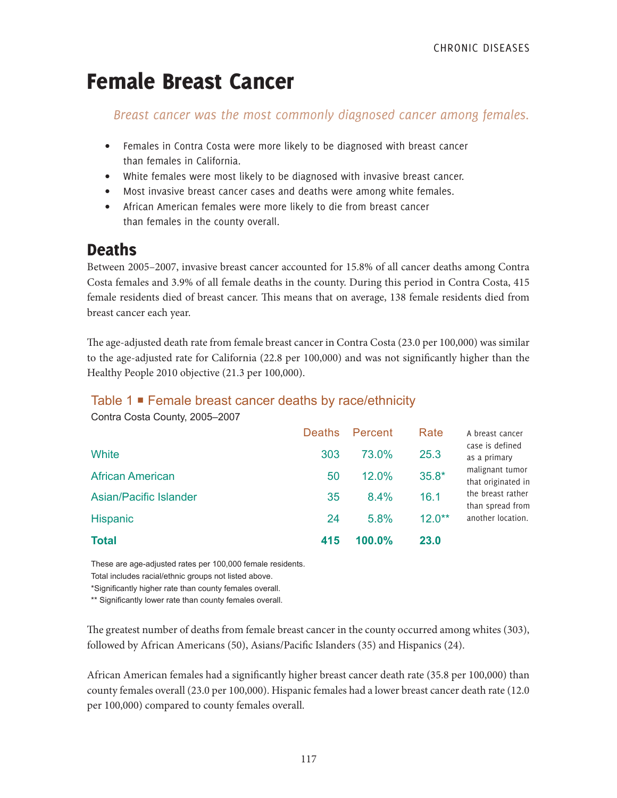# Female Breast Cancer

# *Breast cancer was the most commonly diagnosed cancer among females.*

- Females in Contra Costa were more likely to be diagnosed with breast cancer than females in California.
- White females were most likely to be diagnosed with invasive breast cancer.
- Most invasive breast cancer cases and deaths were among white females.
- African American females were more likely to die from breast cancer than females in the county overall.

# **Deaths**

Between 2005–2007, invasive breast cancer accounted for 15.8% of all cancer deaths among Contra Costa females and 3.9% of all female deaths in the county. During this period in Contra Costa, 415 female residents died of breast cancer. This means that on average, 138 female residents died from breast cancer each year.

The age-adjusted death rate from female breast cancer in Contra Costa (23.0 per 100,000) was similar to the age-adjusted rate for California (22.8 per 100,000) and was not significantly higher than the Healthy People 2010 objective (21.3 per 100,000).

# Table 1 Female breast cancer deaths by race/ethnicity

Contra Costa County, 2005–2007

| <b>Total</b>                  | 415           | 100.0%  | <b>23.0</b> |                                       |
|-------------------------------|---------------|---------|-------------|---------------------------------------|
| <b>Hispanic</b>               | 24            | 5.8%    | $12.0**$    | another location.                     |
| <b>Asian/Pacific Islander</b> | 35            | $8.4\%$ | 16.1        | the breast rather<br>than spread from |
| <b>African American</b>       | 50            | 12.0%   | $35.8*$     | malignant tumor<br>that originated in |
| White                         | 303           | 73.0%   | 25.3        | case is defined<br>as a primary       |
|                               | <b>Deaths</b> | Percent | Rate        | A breast cancer                       |

These are age-adjusted rates per 100,000 female residents. Total includes racial/ethnic groups not listed above.

\*Significantly higher rate than county females overall.

\*\* Significantly lower rate than county females overall.

The greatest number of deaths from female breast cancer in the county occurred among whites (303), followed by African Americans (50), Asians/Pacific Islanders (35) and Hispanics (24).

African American females had a significantly higher breast cancer death rate (35.8 per 100,000) than county females overall (23.0 per 100,000). Hispanic females had a lower breast cancer death rate (12.0 per 100,000) compared to county females overall.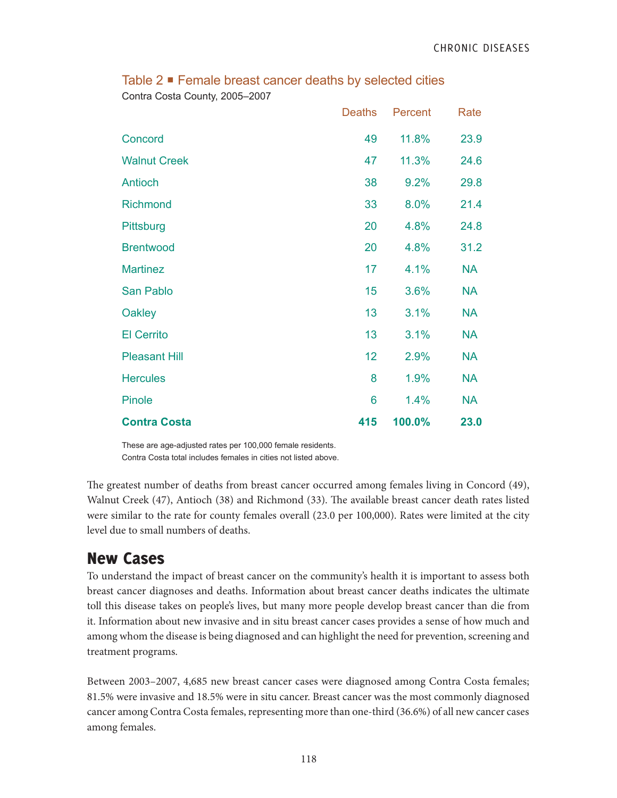|                      | <b>Deaths</b> | Percent | Rate      |
|----------------------|---------------|---------|-----------|
| Concord              | 49            | 11.8%   | 23.9      |
| <b>Walnut Creek</b>  | 47            | 11.3%   | 24.6      |
| Antioch              | 38            | 9.2%    | 29.8      |
| <b>Richmond</b>      | 33            | 8.0%    | 21.4      |
| Pittsburg            | 20            | 4.8%    | 24.8      |
| <b>Brentwood</b>     | 20            | 4.8%    | 31.2      |
| <b>Martinez</b>      | 17            | 4.1%    | <b>NA</b> |
| San Pablo            | 15            | 3.6%    | <b>NA</b> |
| Oakley               | 13            | 3.1%    | <b>NA</b> |
| <b>El Cerrito</b>    | 13            | 3.1%    | <b>NA</b> |
| <b>Pleasant Hill</b> | 12            | 2.9%    | <b>NA</b> |
| <b>Hercules</b>      | 8             | 1.9%    | <b>NA</b> |
| Pinole               | 6             | 1.4%    | <b>NA</b> |
| <b>Contra Costa</b>  | 415           | 100.0%  | 23.0      |

Table 2 **■** Female breast cancer deaths by selected cities Contra Costa County, 2005–2007

These are age-adjusted rates per 100,000 female residents. Contra Costa total includes females in cities not listed above.

The greatest number of deaths from breast cancer occurred among females living in Concord (49), Walnut Creek (47), Antioch (38) and Richmond (33). The available breast cancer death rates listed were similar to the rate for county females overall (23.0 per 100,000). Rates were limited at the city level due to small numbers of deaths.

# New Cases

To understand the impact of breast cancer on the community's health it is important to assess both breast cancer diagnoses and deaths. Information about breast cancer deaths indicates the ultimate toll this disease takes on people's lives, but many more people develop breast cancer than die from it. Information about new invasive and in situ breast cancer cases provides a sense of how much and among whom the disease is being diagnosed and can highlight the need for prevention, screening and treatment programs.

Between 2003–2007, 4,685 new breast cancer cases were diagnosed among Contra Costa females; 81.5% were invasive and 18.5% were in situ cancer. Breast cancer was the most commonly diagnosed cancer among Contra Costa females, representing more than one-third (36.6%) of all new cancer cases among females.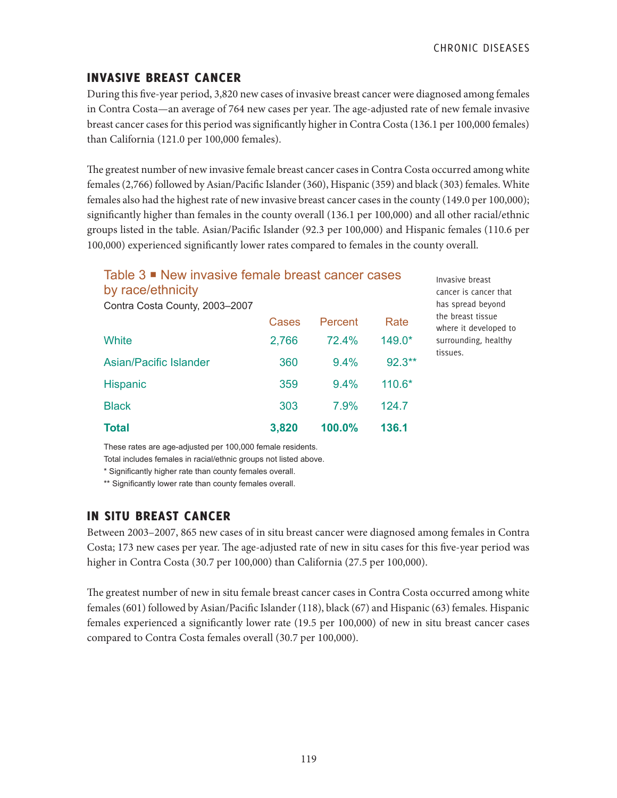# INVASIVE BREAST CANCER

During this five-year period, 3,820 new cases of invasive breast cancer were diagnosed among females in Contra Costa—an average of 764 new cases per year. The age-adjusted rate of new female invasive breast cancer cases for this period was significantly higher in Contra Costa (136.1 per 100,000 females) than California (121.0 per 100,000 females).

The greatest number of new invasive female breast cancer cases in Contra Costa occurred among white females (2,766) followed by Asian/Pacific Islander (360), Hispanic (359) and black (303) females. White females also had the highest rate of new invasive breast cancer cases in the county (149.0 per 100,000); significantly higher than females in the county overall (136.1 per 100,000) and all other racial/ethnic groups listed in the table. Asian/Pacific Islander (92.3 per 100,000) and Hispanic females (110.6 per 100,000) experienced significantly lower rates compared to females in the county overall.

| Table 3 ■ New invasive female breast cancer cases<br>by race/ethnicity |       |         |           |
|------------------------------------------------------------------------|-------|---------|-----------|
| Contra Costa County, 2003-2007                                         |       |         |           |
|                                                                        | Cases | Percent | Rate      |
| White                                                                  | 2,766 | 72.4%   | 149.0*    |
| Asian/Pacific Islander                                                 | 360   | 9.4%    | $92.3***$ |
| <b>Hispanic</b>                                                        | 359   | 9.4%    | $110.6*$  |
| <b>Black</b>                                                           | 303   | 7.9%    | 124.7     |
| <b>Total</b>                                                           | 3,820 | 100.0%  | 136.1     |

Invasive breast cancer is cancer that has spread beyond the breast tissue where it developed to surrounding, healthy tissues.

These rates are age-adjusted per 100,000 female residents.

Total includes females in racial/ethnic groups not listed above.

\* Significantly higher rate than county females overall.

\*\* Significantly lower rate than county females overall.

# IN SITU BREAST CANCER

Between 2003–2007, 865 new cases of in situ breast cancer were diagnosed among females in Contra Costa; 173 new cases per year. The age-adjusted rate of new in situ cases for this five-year period was higher in Contra Costa (30.7 per 100,000) than California (27.5 per 100,000).

The greatest number of new in situ female breast cancer cases in Contra Costa occurred among white females (601) followed by Asian/Pacific Islander (118), black (67) and Hispanic (63) females. Hispanic females experienced a significantly lower rate (19.5 per 100,000) of new in situ breast cancer cases compared to Contra Costa females overall (30.7 per 100,000).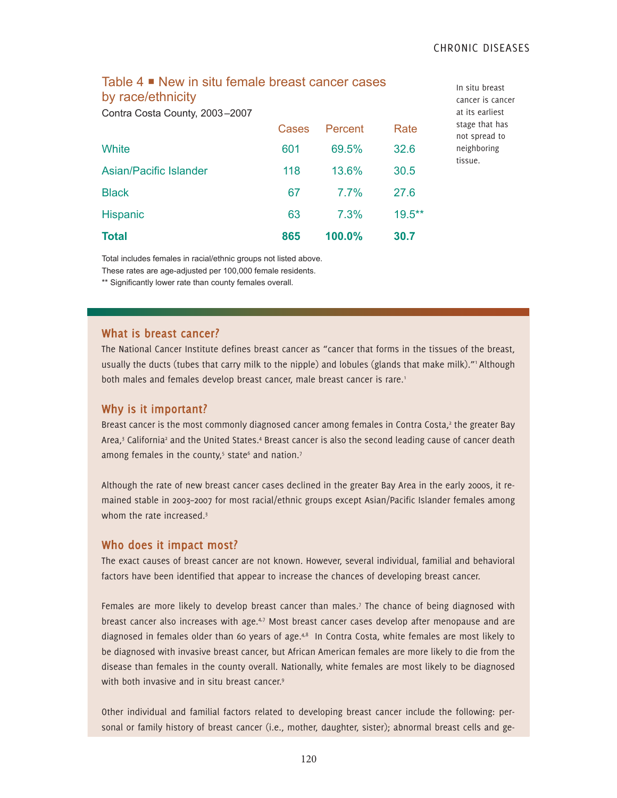### Table 4 **■** New in situ female breast cancer cases by race/ethnicity

Contra Costa County, 2003–2007

| <b>Total</b>           | 865   | 100.0%  | 30.7      |
|------------------------|-------|---------|-----------|
| <b>Hispanic</b>        | 63    | 7.3%    | $19.5***$ |
| <b>Black</b>           | 67    | $7.7\%$ | 27.6      |
| Asian/Pacific Islander | 118   | 13.6%   | 30.5      |
| <b>White</b>           | 601   | 69.5%   | 32.6      |
|                        | Cases | Percent | Rate      |

In situ breast cancer is cancer at its earliest stage that has not spread to neighboring tissue.

Total includes females in racial/ethnic groups not listed above.

These rates are age-adjusted per 100,000 female residents.

\*\* Significantly lower rate than county females overall.

#### **What is breast cancer?**

The National Cancer Institute defines breast cancer as "cancer that forms in the tissues of the breast, usually the ducts (tubes that carry milk to the nipple) and lobules (glands that make milk)."<sup>1</sup> Although both males and females develop breast cancer, male breast cancer is rare.<sup>1</sup>

#### **Why is it important?**

Breast cancer is the most commonly diagnosed cancer among females in Contra Costa,<sup>2</sup> the greater Bay Area,<sup>3</sup> California<sup>2</sup> and the United States.<sup>4</sup> Breast cancer is also the second leading cause of cancer death among females in the county,<sup>5</sup> state<sup>6</sup> and nation.<sup>7</sup>

Although the rate of new breast cancer cases declined in the greater Bay Area in the early 2000s, it remained stable in 2003–2007 for most racial/ethnic groups except Asian/Pacific Islander females among whom the rate increased.<sup>3</sup>

#### **Who does it impact most?**

The exact causes of breast cancer are not known. However, several individual, familial and behavioral factors have been identified that appear to increase the chances of developing breast cancer.

Females are more likely to develop breast cancer than males.<sup>7</sup> The chance of being diagnosed with breast cancer also increases with age. $4.7$  Most breast cancer cases develop after menopause and are diagnosed in females older than 60 years of age.<sup>4,8</sup> In Contra Costa, white females are most likely to be diagnosed with invasive breast cancer, but African American females are more likely to die from the disease than females in the county overall. Nationally, white females are most likely to be diagnosed with both invasive and in situ breast cancer.<sup>9</sup>

Other individual and familial factors related to developing breast cancer include the following: personal or family history of breast cancer (i.e., mother, daughter, sister); abnormal breast cells and ge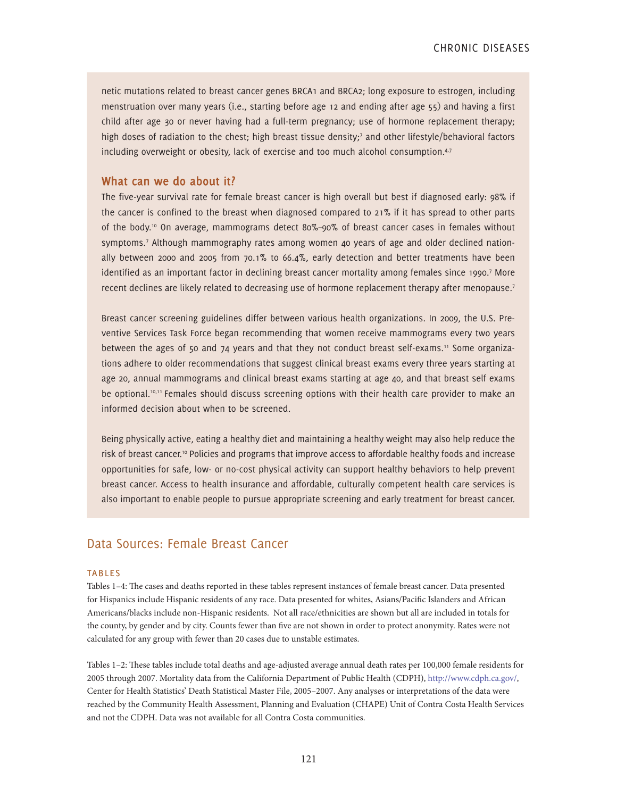netic mutations related to breast cancer genes BRCA1 and BRCA2; long exposure to estrogen, including menstruation over many years (i.e., starting before age 12 and ending after age 55) and having a first child after age 30 or never having had a full-term pregnancy; use of hormone replacement therapy; high doses of radiation to the chest; high breast tissue density;<sup>7</sup> and other lifestyle/behavioral factors including overweight or obesity, lack of exercise and too much alcohol consumption.<sup>4,7</sup>

#### **What can we do about it?**

The five-year survival rate for female breast cancer is high overall but best if diagnosed early: 98% if the cancer is confined to the breast when diagnosed compared to 21% if it has spread to other parts of the body.10 On average, mammograms detect 80%–90% of breast cancer cases in females without symptoms.7 Although mammography rates among women 40 years of age and older declined nationally between 2000 and 2005 from 70.1% to 66.4%, early detection and better treatments have been identified as an important factor in declining breast cancer mortality among females since 1990.<sup>7</sup> More recent declines are likely related to decreasing use of hormone replacement therapy after menopause.<sup>7</sup>

Breast cancer screening guidelines differ between various health organizations. In 2009, the U.S. Preventive Services Task Force began recommending that women receive mammograms every two years between the ages of 50 and 74 years and that they not conduct breast self-exams.<sup>11</sup> Some organizations adhere to older recommendations that suggest clinical breast exams every three years starting at age 20, annual mammograms and clinical breast exams starting at age 40, and that breast self exams be optional.<sup>10,11</sup> Females should discuss screening options with their health care provider to make an informed decision about when to be screened.

Being physically active, eating a healthy diet and maintaining a healthy weight may also help reduce the risk of breast cancer.<sup>10</sup> Policies and programs that improve access to affordable healthy foods and increase opportunities for safe, low- or no-cost physical activity can support healthy behaviors to help prevent breast cancer. Access to health insurance and affordable, culturally competent health care services is also important to enable people to pursue appropriate screening and early treatment for breast cancer.

### Data Sources: Female Breast Cancer

#### **TABLES**

Tables 1–4: The cases and deaths reported in these tables represent instances of female breast cancer. Data presented for Hispanics include Hispanic residents of any race. Data presented for whites, Asians/Pacific Islanders and African Americans/blacks include non-Hispanic residents. Not all race/ethnicities are shown but all are included in totals for the county, by gender and by city. Counts fewer than five are not shown in order to protect anonymity. Rates were not calculated for any group with fewer than 20 cases due to unstable estimates.

Tables 1–2: These tables include total deaths and age-adjusted average annual death rates per 100,000 female residents for 2005 through 2007. Mortality data from the California Department of Public Health (CDPH), http://www.cdph.ca.gov/, Center for Health Statistics' Death Statistical Master File, 2005–2007. Any analyses or interpretations of the data were reached by the Community Health Assessment, Planning and Evaluation (CHAPE) Unit of Contra Costa Health Services and not the CDPH. Data was not available for all Contra Costa communities.